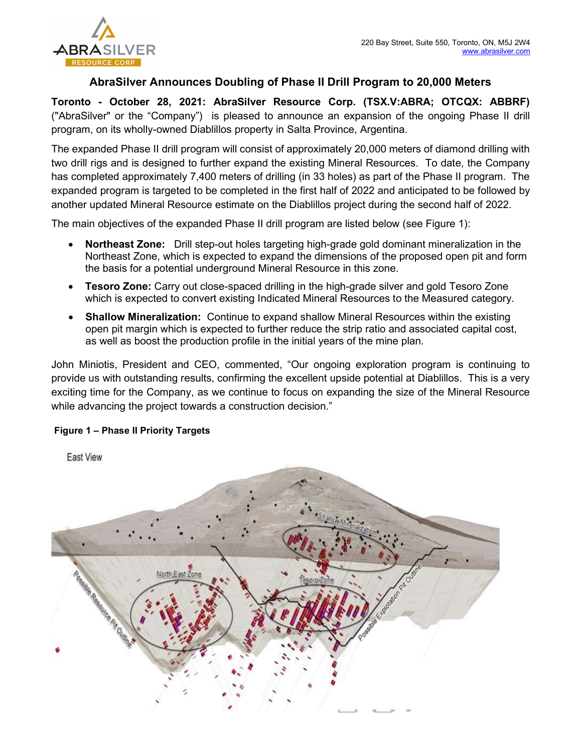

## AbraSilver Announces Doubling of Phase II Drill Program to 20,000 Meters

Toronto - October 28, 2021: AbraSilver Resource Corp. (TSX.V:ABRA; OTCQX: ABBRF) ("AbraSilver" or the "Company") is pleased to announce an expansion of the ongoing Phase II drill program, on its wholly-owned Diablillos property in Salta Province, Argentina.

The expanded Phase II drill program will consist of approximately 20,000 meters of diamond drilling with two drill rigs and is designed to further expand the existing Mineral Resources. To date, the Company has completed approximately 7,400 meters of drilling (in 33 holes) as part of the Phase II program. The expanded program is targeted to be completed in the first half of 2022 and anticipated to be followed by another updated Mineral Resource estimate on the Diablillos project during the second half of 2022.

The main objectives of the expanded Phase II drill program are listed below (see Figure 1):

- Northeast Zone: Drill step-out holes targeting high-grade gold dominant mineralization in the Northeast Zone, which is expected to expand the dimensions of the proposed open pit and form the basis for a potential underground Mineral Resource in this zone.
- Tesoro Zone: Carry out close-spaced drilling in the high-grade silver and gold Tesoro Zone which is expected to convert existing Indicated Mineral Resources to the Measured category.
- Shallow Mineralization: Continue to expand shallow Mineral Resources within the existing open pit margin which is expected to further reduce the strip ratio and associated capital cost, as well as boost the production profile in the initial years of the mine plan.

John Miniotis, President and CEO, commented, "Our ongoing exploration program is continuing to provide us with outstanding results, confirming the excellent upside potential at Diablillos. This is a very exciting time for the Company, as we continue to focus on expanding the size of the Mineral Resource while advancing the project towards a construction decision."

### Figure 1 – Phase II Priority Targets

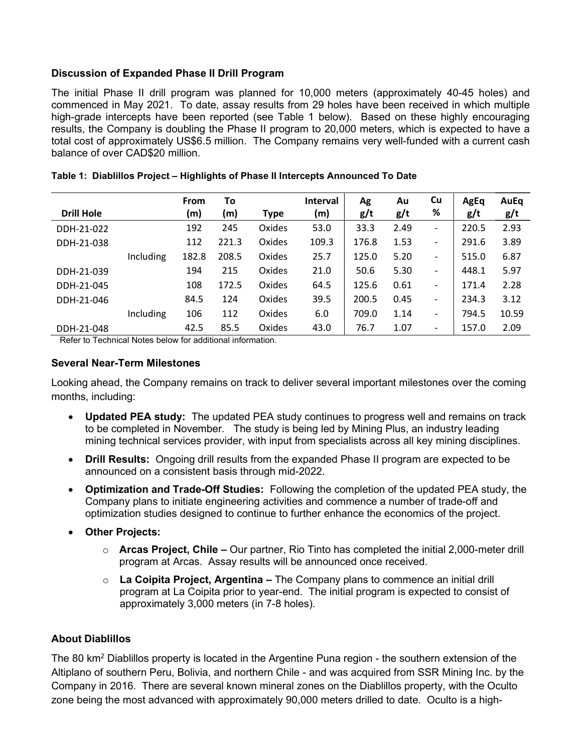### Discussion of Expanded Phase II Drill Program

The initial Phase II drill program was planned for 10,000 meters (approximately 40-45 holes) and commenced in May 2021. To date, assay results from 29 holes have been received in which multiple high-grade intercepts have been reported (see Table 1 below). Based on these highly encouraging results, the Company is doubling the Phase II program to 20,000 meters, which is expected to have a total cost of approximately US\$6.5 million. The Company remains very well-funded with a current cash balance of over CAD\$20 million.

| <b>Drill Hole</b> |           | <b>From</b><br>(m) | To<br>(m) | <b>Type</b> | <b>Interval</b><br>(m) | Ag<br>g/t | Au<br>g/t | Cu<br>%                      | AgEq<br>g/t | AuEq<br>g/t |
|-------------------|-----------|--------------------|-----------|-------------|------------------------|-----------|-----------|------------------------------|-------------|-------------|
| DDH-21-022        |           | 192                | 245       | Oxides      | 53.0                   | 33.3      | 2.49      | -                            | 220.5       | 2.93        |
| DDH-21-038        |           | 112                | 221.3     | Oxides      | 109.3                  | 176.8     | 1.53      | $\overline{\phantom{a}}$     | 291.6       | 3.89        |
|                   | Including | 182.8              | 208.5     | Oxides      | 25.7                   | 125.0     | 5.20      | $\overline{\phantom{a}}$     | 515.0       | 6.87        |
| DDH-21-039        |           | 194                | 215       | Oxides      | 21.0                   | 50.6      | 5.30      | $\overline{\phantom{a}}$     | 448.1       | 5.97        |
| DDH-21-045        |           | 108                | 172.5     | Oxides      | 64.5                   | 125.6     | 0.61      | $\overline{\phantom{a}}$     | 171.4       | 2.28        |
| DDH-21-046        |           | 84.5               | 124       | Oxides      | 39.5                   | 200.5     | 0.45      | $\qquad \qquad \blacksquare$ | 234.3       | 3.12        |
|                   | Including | 106                | 112       | Oxides      | 6.0                    | 709.0     | 1.14      | -                            | 794.5       | 10.59       |
| DDH-21-048        |           | 42.5               | 85.5      | Oxides      | 43.0                   | 76.7      | 1.07      | -                            | 157.0       | 2.09        |

|  |  |  |  | Table 1: Diablillos Project – Highlights of Phase II Intercepts Announced To Date |  |
|--|--|--|--|-----------------------------------------------------------------------------------|--|
|--|--|--|--|-----------------------------------------------------------------------------------|--|

Refer to Technical Notes below for additional information.

#### Several Near-Term Milestones

Looking ahead, the Company remains on track to deliver several important milestones over the coming months, including:

- Updated PEA study: The updated PEA study continues to progress well and remains on track to be completed in November. The study is being led by Mining Plus, an industry leading mining technical services provider, with input from specialists across all key mining disciplines.
- Drill Results: Ongoing drill results from the expanded Phase II program are expected to be announced on a consistent basis through mid-2022.
- Optimization and Trade-Off Studies: Following the completion of the updated PEA study, the Company plans to initiate engineering activities and commence a number of trade-off and optimization studies designed to continue to further enhance the economics of the project.
- Other Projects:
	- $\circ$  Arcas Project, Chile Our partner, Rio Tinto has completed the initial 2,000-meter drill program at Arcas. Assay results will be announced once received.
	- $\circ$  La Coipita Project, Argentina The Company plans to commence an initial drill program at La Coipita prior to year-end. The initial program is expected to consist of approximately 3,000 meters (in 7-8 holes).

### About Diablillos

The 80 km<sup>2</sup> Diablillos property is located in the Argentine Puna region - the southern extension of the Altiplano of southern Peru, Bolivia, and northern Chile - and was acquired from SSR Mining Inc. by the Company in 2016. There are several known mineral zones on the Diablillos property, with the Oculto zone being the most advanced with approximately 90,000 meters drilled to date. Oculto is a high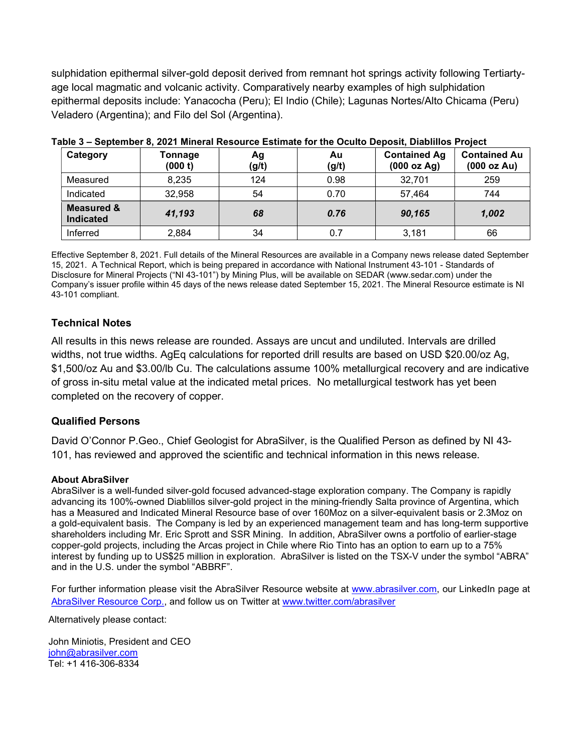sulphidation epithermal silver-gold deposit derived from remnant hot springs activity following Tertiartyage local magmatic and volcanic activity. Comparatively nearby examples of high sulphidation epithermal deposits include: Yanacocha (Peru); El Indio (Chile); Lagunas Nortes/Alto Chicama (Peru) Veladero (Argentina); and Filo del Sol (Argentina).

| Category                                  | Tonnage<br>(000 t) | Αg<br>(g/t) | Au<br>(g/t) | <b>Contained Ag</b><br>(000 oz Ag) | <b>Contained Au</b><br>(000 oz Au) |
|-------------------------------------------|--------------------|-------------|-------------|------------------------------------|------------------------------------|
| Measured                                  | 8,235              | 124         | 0.98        | 32,701                             | 259                                |
| Indicated                                 | 32,958             | 54          | 0.70        | 57,464                             | 744                                |
| <b>Measured &amp;</b><br><b>Indicated</b> | 41,193             | 68          | 0.76        | 90,165                             | 1,002                              |
| Inferred                                  | 2,884              | 34          | 0.7         | 3,181                              | 66                                 |

|  |  |  |  |  | Table 3 – September 8, 2021 Mineral Resource Estimate for the Oculto Deposit, Diablillos Project |  |
|--|--|--|--|--|--------------------------------------------------------------------------------------------------|--|
|--|--|--|--|--|--------------------------------------------------------------------------------------------------|--|

Effective September 8, 2021. Full details of the Mineral Resources are available in a Company news release dated September 15, 2021. A Technical Report, which is being prepared in accordance with National Instrument 43-101 - Standards of Disclosure for Mineral Projects ("NI 43-101") by Mining Plus, will be available on SEDAR (www.sedar.com) under the Company's issuer profile within 45 days of the news release dated September 15, 2021. The Mineral Resource estimate is NI 43-101 compliant.

# Technical Notes

All results in this news release are rounded. Assays are uncut and undiluted. Intervals are drilled widths, not true widths. AgEq calculations for reported drill results are based on USD \$20.00/oz Ag, \$1,500/oz Au and \$3.00/lb Cu. The calculations assume 100% metallurgical recovery and are indicative of gross in-situ metal value at the indicated metal prices. No metallurgical testwork has yet been completed on the recovery of copper.

### Qualified Persons

David O'Connor P.Geo., Chief Geologist for AbraSilver, is the Qualified Person as defined by NI 43- 101, has reviewed and approved the scientific and technical information in this news release.

### About AbraSilver

AbraSilver is a well-funded silver-gold focused advanced-stage exploration company. The Company is rapidly advancing its 100%-owned Diablillos silver-gold project in the mining-friendly Salta province of Argentina, which has a Measured and Indicated Mineral Resource base of over 160Moz on a silver-equivalent basis or 2.3Moz on a gold-equivalent basis. The Company is led by an experienced management team and has long-term supportive shareholders including Mr. Eric Sprott and SSR Mining. In addition, AbraSilver owns a portfolio of earlier-stage copper-gold projects, including the Arcas project in Chile where Rio Tinto has an option to earn up to a 75% interest by funding up to US\$25 million in exploration. AbraSilver is listed on the TSX-V under the symbol "ABRA" and in the U.S. under the symbol "ABBRF".

For further information please visit the AbraSilver Resource website at www.abrasilver.com, our LinkedIn page at AbraSilver Resource Corp., and follow us on Twitter at www.twitter.com/abrasilver

Alternatively please contact:

John Miniotis, President and CEO john@abrasilver.com Tel: +1 416-306-8334